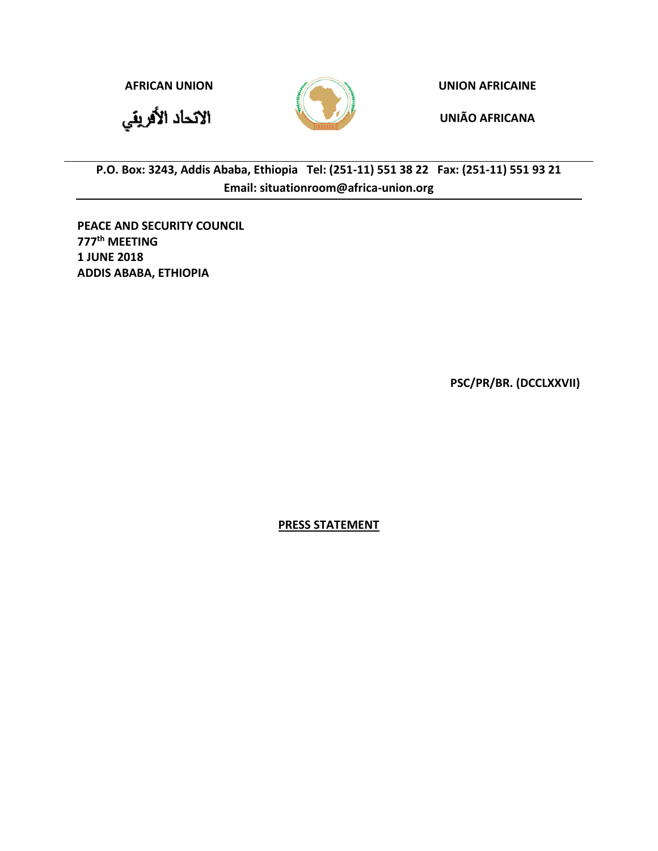



**AFRICAN UNION UNION AFRICAINE**

**UNIÃO AFRICANA**

**P.O. Box: 3243, Addis Ababa, Ethiopia Tel: (251-11) 551 38 22 Fax: (251-11) 551 93 21 Email: situationroom@africa-union.org**

**PEACE AND SECURITY COUNCIL 777 th MEETING 1 JUNE 2018 ADDIS ABABA, ETHIOPIA** 

**PSC/PR/BR. (DCCLXXVII)**

**PRESS STATEMENT**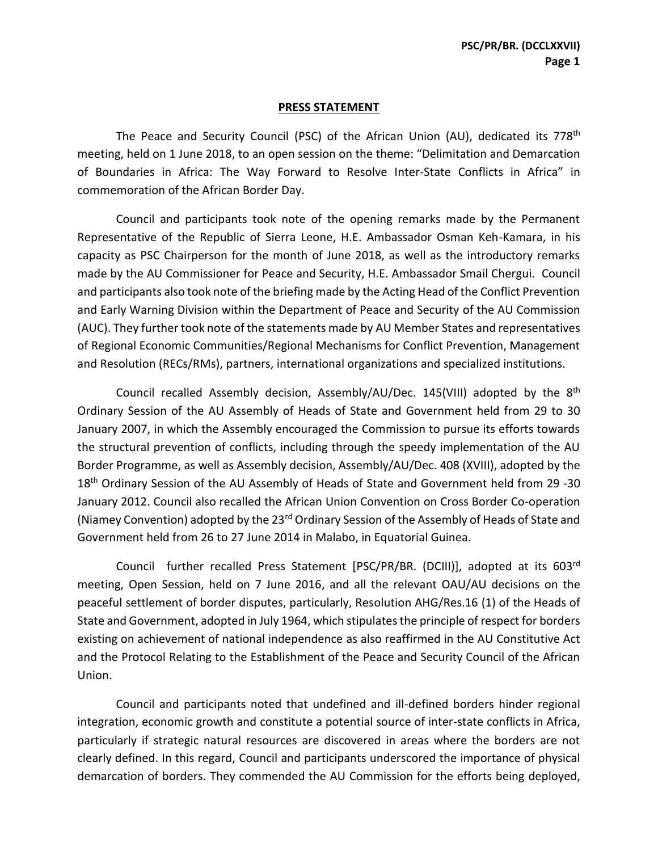## **PRESS STATEMENT**

The Peace and Security Council (PSC) of the African Union (AU), dedicated its 778<sup>th</sup> meeting, held on 1 June 2018, to an open session on the theme: "Delimitation and Demarcation of Boundaries in Africa: The Way Forward to Resolve Inter-State Conflicts in Africa" in commemoration of the African Border Day.

Council and participants took note of the opening remarks made by the Permanent Representative of the Republic of Sierra Leone, H.E. Ambassador Osman Keh-Kamara, in his capacity as PSC Chairperson for the month of June 2018, as well as the introductory remarks made by the AU Commissioner for Peace and Security, H.E. Ambassador Smail Chergui. Council and participants also took note of the briefing made by the Acting Head of the Conflict Prevention and Early Warning Division within the Department of Peace and Security of the AU Commission (AUC). They further took note of the statements made by AU Member States and representatives of Regional Economic Communities/Regional Mechanisms for Conflict Prevention, Management and Resolution (RECs/RMs), partners, international organizations and specialized institutions.

Council recalled Assembly decision, Assembly/AU/Dec. 145(VIII) adopted by the 8<sup>th</sup> Ordinary Session of the AU Assembly of Heads of State and Government held from 29 to 30 January 2007, in which the Assembly encouraged the Commission to pursue its efforts towards the structural prevention of conflicts, including through the speedy implementation of the AU Border Programme, as well as Assembly decision, Assembly/AU/Dec. 408 (XVIII), adopted by the 18<sup>th</sup> Ordinary Session of the AU Assembly of Heads of State and Government held from 29 -30 January 2012. Council also recalled the African Union Convention on Cross Border Co-operation (Niamey Convention) adopted by the 23rd Ordinary Session of the Assembly of Heads of State and Government held from 26 to 27 June 2014 in Malabo, in Equatorial Guinea.

Council further recalled Press Statement [PSC/PR/BR. (DCIII)], adopted at its 603rd meeting, Open Session, held on 7 June 2016, and all the relevant OAU/AU decisions on the peaceful settlement of border disputes, particularly, Resolution AHG/Res.16 (1) of the Heads of State and Government, adopted in July 1964, which stipulates the principle of respect for borders existing on achievement of national independence as also reaffirmed in the AU Constitutive Act and the Protocol Relating to the Establishment of the Peace and Security Council of the African Union.

Council and participants noted that undefined and ill-defined borders hinder regional integration, economic growth and constitute a potential source of inter-state conflicts in Africa, particularly if strategic natural resources are discovered in areas where the borders are not clearly defined. In this regard, Council and participants underscored the importance of physical demarcation of borders. They commended the AU Commission for the efforts being deployed,